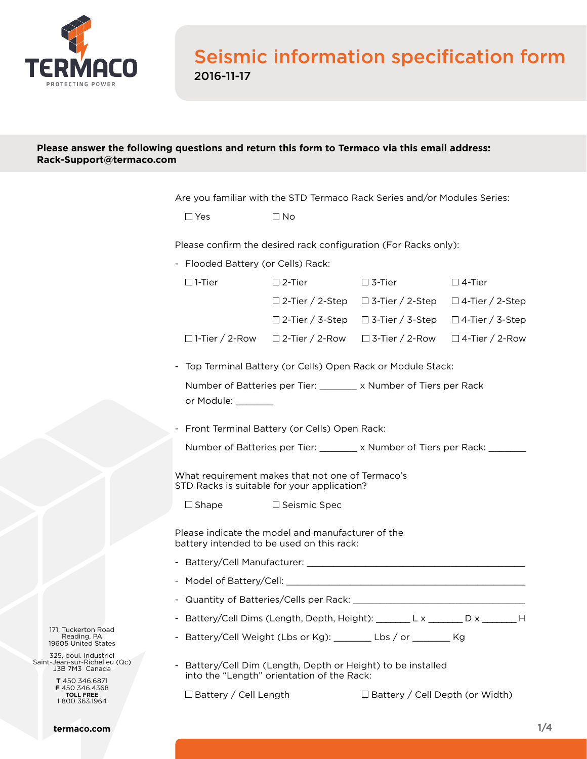

## Seismic information specification form 2016-11-17

## **Please answer the following questions and return this form to Termaco via this email address: [Rack-Support@termaco.com](mailto:Rack-Support%40termaco.com?subject=Seismic%20information%20specification%20form)**

|  |  |  |  | Are you familiar with the STD Termaco Rack Series and/or Modules Series: |
|--|--|--|--|--------------------------------------------------------------------------|
|--|--|--|--|--------------------------------------------------------------------------|

 $\square$  Yes  $\square$  No

Please confirm the desired rack configuration (For Racks only):

- Flooded Battery (or Cells) Rack:

| $\Box$ 1-Tier | $\Box$ 2-Tier | $\square$ 3-Tier                                                     | $\Box$ 4-Tier |
|---------------|---------------|----------------------------------------------------------------------|---------------|
|               |               | $\Box$ 2-Tier / 2-Step $\Box$ 3-Tier / 2-Step $\Box$ 4-Tier / 2-Step |               |
|               |               | $\Box$ 2-Tier / 3-Step $\Box$ 3-Tier / 3-Step $\Box$ 4-Tier / 3-Step |               |
|               |               | □ 1-Tier / 2-Row □ 2-Tier / 2-Row □ 3-Tier / 2-Row □ 4-Tier / 2-Row  |               |

- Top Terminal Battery (or Cells) Open Rack or Module Stack:

Number of Batteries per Tier: \_\_\_\_\_\_\_ x Number of Tiers per Rack or Module: \_\_\_\_\_

- Front Terminal Battery (or Cells) Open Rack:

Number of Batteries per Tier: \_\_\_\_\_\_\_ x Number of Tiers per Rack: \_\_\_\_\_\_

What requirement makes that not one of Termaco's STD Racks is suitable for your application?

 $\square$  Shape  $\square$  Seismic Spec

Please indicate the model and manufacturer of the battery intended to be used on this rack:

- Battery/Cell Manufacturer: \_\_\_\_\_\_\_\_\_\_\_\_\_\_\_\_\_\_\_\_\_\_\_\_\_\_\_\_\_\_\_\_\_\_\_\_\_\_\_\_\_
- Model of Battery/Cell:
- Quantity of Batteries/Cells per Rack: \_\_\_\_\_\_\_\_\_\_\_\_\_\_\_\_\_\_\_\_\_\_\_\_\_\_\_\_\_\_\_\_
- Battery/Cell Dims (Length, Depth, Height): \_\_\_\_\_\_\_ L x \_\_\_\_\_\_ D x \_\_\_\_\_\_ H
- Battery/Cell Weight (Lbs or Kg): \_\_\_\_\_\_\_ Lbs / or \_\_\_\_\_\_\_ Kg
- Battery/Cell Dim (Length, Depth or Height) to be installed into the "Length" orientation of the Rack:

171, Tuckerton Road Reading, PA 19605 United States

325, boul. Industriel Saint-Jean-sur-Richelieu (Qc) J3B 7M3 Canada

> **T** 450 346.6871 **F** 450 346.4368 **TOLL FREE** 1 800 363.1964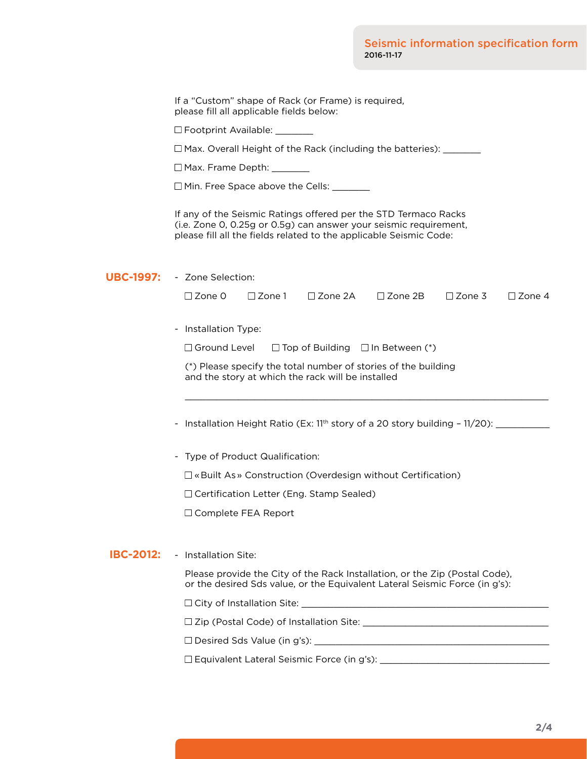## Seismic information specification form 2016-11-17

| If a "Custom" shape of Rack (or Frame) is required, |  |
|-----------------------------------------------------|--|
| please fill all applicable fields below:            |  |

□ Footprint Available: \_\_\_\_\_\_\_\_

 $\square$  Max. Overall Height of the Rack (including the batteries):

□ Max. Frame Depth: \_\_\_\_\_\_\_

□ Min. Free Space above the Cells: \_\_\_\_\_\_\_\_

If any of the Seismic Ratings offered per the STD Termaco Racks (i.e. Zone 0, 0.25g or 0.5g) can answer your seismic requirement, please fill all the fields related to the applicable Seismic Code:

UBC-1997: - Zone Selection:

| $\square$ Zone O<br>$\Box$ Zone 3 $\Box$ Zone 4<br>$\square$ Zone 1<br>$\square$ Zone 2A<br>$\square$ Zone 2B |
|---------------------------------------------------------------------------------------------------------------|
|---------------------------------------------------------------------------------------------------------------|

 $\_$  . The contribution of the contribution of  $\mathcal{L}_1$  ,  $\mathcal{L}_2$  ,  $\mathcal{L}_3$  ,  $\mathcal{L}_4$  ,  $\mathcal{L}_5$  ,  $\mathcal{L}_6$  ,  $\mathcal{L}_7$  ,  $\mathcal{L}_8$  ,  $\mathcal{L}_9$  ,  $\mathcal{L}_8$  ,  $\mathcal{L}_9$  ,  $\mathcal{L}_9$  ,  $\mathcal{L}_8$  ,  $\mathcal{L}_9$  ,  $\mathcal{L}_$ 

- Installation Type:

 $\Box$  Ground Level  $\Box$  Top of Building  $\Box$  In Between (\*)

(\*) Please specify the total number of stories of the building and the story at which the rack will be installed

- Installation Height Ratio (Ex: 11<sup>th</sup> story of a 20 story building - 11/20): \_\_\_\_\_\_\_\_

- Type of Product Qualification:

« Built As » Construction (Overdesign without Certification)

□ Certification Letter (Eng. Stamp Sealed)

□ Complete FEA Report

## **IBC-2012:** - Installation Site:

Please provide the City of the Rack Installation, or the Zip (Postal Code), or the desired Sds value, or the Equivalent Lateral Seismic Force (in g's):

 $\Box$  City of Installation Site:

Zip (Postal Code) of Installation Site: \_\_\_\_\_\_\_\_\_\_\_\_\_\_\_\_\_\_\_\_\_\_\_\_\_\_\_\_\_\_\_\_\_\_\_

Desired Sds Value (in g's): \_\_\_\_\_\_\_\_\_\_\_\_\_\_\_\_\_\_\_\_\_\_\_\_\_\_\_\_\_\_\_\_\_\_\_\_\_\_\_\_\_\_\_\_

 $\square$  Equivalent Lateral Seismic Force (in g's): \_\_\_\_\_\_\_\_\_\_\_\_\_\_\_\_\_\_\_\_\_\_\_\_\_\_\_\_\_\_\_\_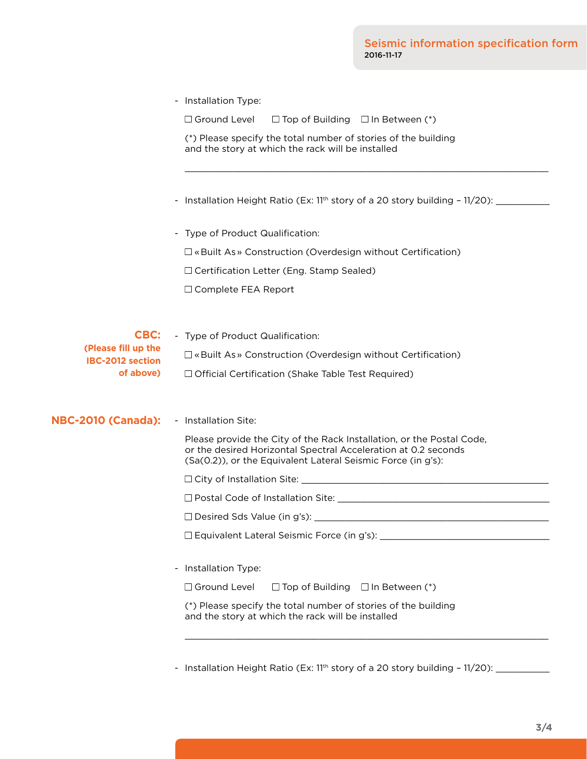|  |  |  | Installation Type: |
|--|--|--|--------------------|
|--|--|--|--------------------|

|                                                | $\Box$ Ground Level $\Box$ Top of Building $\Box$ In Between (*)                                                                                                                                        |
|------------------------------------------------|---------------------------------------------------------------------------------------------------------------------------------------------------------------------------------------------------------|
|                                                | (*) Please specify the total number of stories of the building<br>and the story at which the rack will be installed                                                                                     |
|                                                |                                                                                                                                                                                                         |
|                                                | - Type of Product Qualification:                                                                                                                                                                        |
|                                                | □ « Built As » Construction (Overdesign without Certification)                                                                                                                                          |
|                                                | $\Box$ Certification Letter (Eng. Stamp Sealed)                                                                                                                                                         |
|                                                | □ Complete FEA Report                                                                                                                                                                                   |
|                                                |                                                                                                                                                                                                         |
| CBC:                                           | - Type of Product Qualification:                                                                                                                                                                        |
| (Please fill up the<br><b>IBC-2012 section</b> | $\square$ « Built As » Construction (Overdesign without Certification)                                                                                                                                  |
| of above)                                      | □ Official Certification (Shake Table Test Required)                                                                                                                                                    |
| <b>NBC-2010 (Canada):</b>                      | - Installation Site:                                                                                                                                                                                    |
|                                                | Please provide the City of the Rack Installation, or the Postal Code,<br>or the desired Horizontal Spectral Acceleration at 0.2 seconds<br>(Sa(0.2)), or the Equivalent Lateral Seismic Force (in g's): |
|                                                |                                                                                                                                                                                                         |
|                                                |                                                                                                                                                                                                         |
|                                                |                                                                                                                                                                                                         |
|                                                | □ Equivalent Lateral Seismic Force (in g's):                                                                                                                                                            |
|                                                | - Installation Type:                                                                                                                                                                                    |
|                                                | □ Ground Level<br>$\Box$ Top of Building $\Box$ In Between (*)                                                                                                                                          |
|                                                | (*) Please specify the total number of stories of the building<br>and the story at which the rack will be installed                                                                                     |
|                                                |                                                                                                                                                                                                         |

- Installation Height Ratio (Ex: 11<sup>th</sup> story of a 20 story building - 11/20): \_\_\_\_\_\_\_\_\_\_\_\_\_